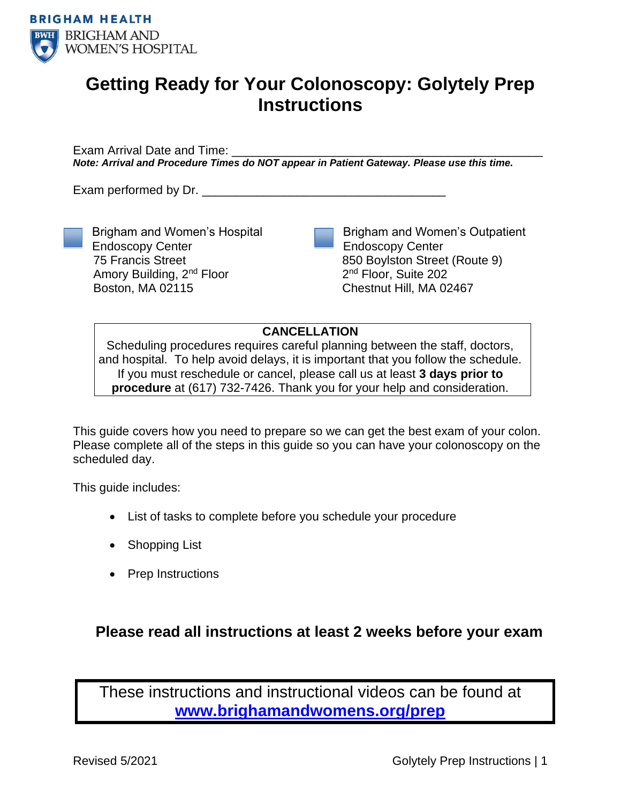

# **Getting Ready for Your Colonoscopy: Golytely Prep Instructions**

Exam Arrival Date and Time: *Note: Arrival and Procedure Times do NOT appear in Patient Gateway. Please use this time.*

Exam performed by Dr.

Endoscopy Center 75 Francis Street

Boston, MA 02115

Brigham and Women's Hospital

Amory Building, 2nd Floor

Brigham and Women's Outpatient Endoscopy Center 850 Boylston Street (Route 9) 2<sup>nd</sup> Floor, Suite 202 Chestnut Hill, MA 02467

**CANCELLATION**

Scheduling procedures requires careful planning between the staff, doctors, and hospital. To help avoid delays, it is important that you follow the schedule. If you must reschedule or cancel, please call us at least **3 days prior to procedure** at (617) 732-7426. Thank you for your help and consideration.

This guide covers how you need to prepare so we can get the best exam of your colon. Please complete all of the steps in this guide so you can have your colonoscopy on the scheduled day.

This guide includes:

- List of tasks to complete before you schedule your procedure
- Shopping List
- Prep Instructions

## **Please read all instructions at least 2 weeks before your exam**

These instructions and instructional videos can be found at **[www.brighamandwomens.org/prep](http://www.brighamandwomens.org/prep)**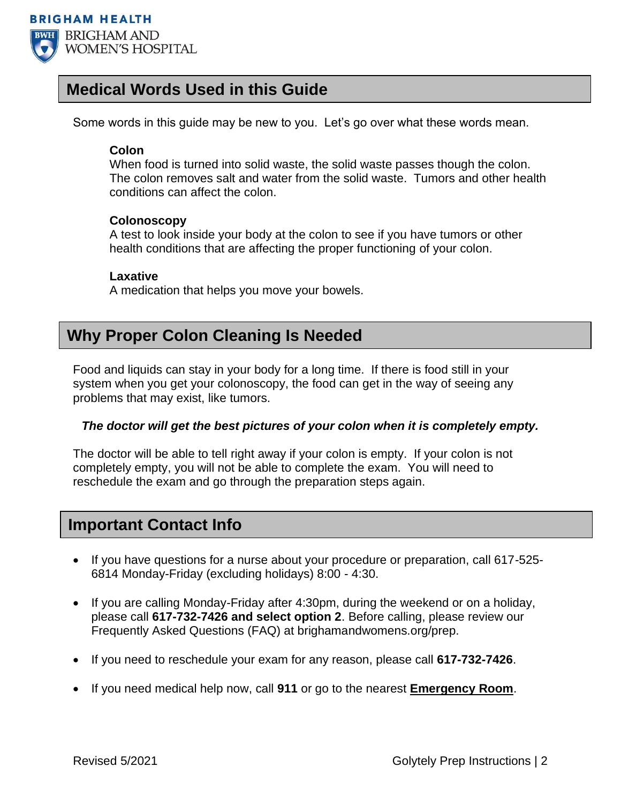

## **Medical Words Used in this Guide**

Some words in this guide may be new to you. Let's go over what these words mean.

### **Colon**

When food is turned into solid waste, the solid waste passes though the colon. The colon removes salt and water from the solid waste. Tumors and other health conditions can affect the colon.

### **Colonoscopy**

A test to look inside your body at the colon to see if you have tumors or other health conditions that are affecting the proper functioning of your colon.

### **Laxative**

A medication that helps you move your bowels.

## **Why Proper Colon Cleaning Is Needed**

Food and liquids can stay in your body for a long time. If there is food still in your system when you get your colonoscopy, the food can get in the way of seeing any problems that may exist, like tumors.

### *The doctor will get the best pictures of your colon when it is completely empty.*

The doctor will be able to tell right away if your colon is empty. If your colon is not completely empty, you will not be able to complete the exam. You will need to reschedule the exam and go through the preparation steps again.

### **Important Contact Info**

- If you have questions for a nurse about your procedure or preparation, call 617-525- 6814 Monday-Friday (excluding holidays) 8:00 - 4:30.
- If you are calling Monday-Friday after 4:30pm, during the weekend or on a holiday, please call **617-732-7426 and select option 2**. Before calling, please review our Frequently Asked Questions (FAQ) at brighamandwomens.org/prep.
- If you need to reschedule your exam for any reason, please call **617-732-7426**.
- If you need medical help now, call **911** or go to the nearest **Emergency Room**.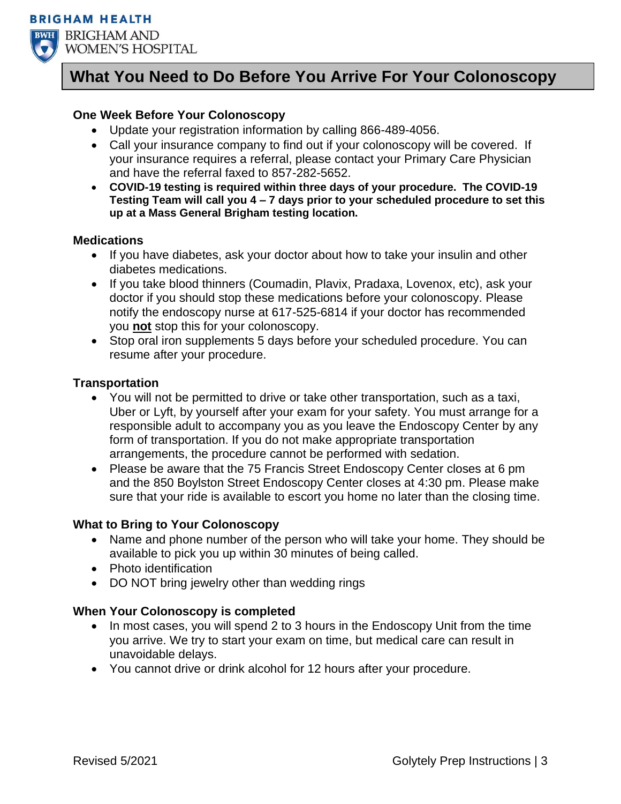



## **What You Need to Do Before You Arrive For Your Colonoscopy**

### **One Week Before Your Colonoscopy**

- Update your registration information by calling 866-489-4056.
- Call your insurance company to find out if your colonoscopy will be covered. If your insurance requires a referral, please contact your Primary Care Physician and have the referral faxed to 857-282-5652.
- **COVID-19 testing is required within three days of your procedure. The COVID-19 Testing Team will call you 4 – 7 days prior to your scheduled procedure to set this up at a Mass General Brigham testing location.**

### **Medications**

- If you have diabetes, ask your doctor about how to take your insulin and other diabetes medications.
- If you take blood thinners (Coumadin, Plavix, Pradaxa, Lovenox, etc), ask your doctor if you should stop these medications before your colonoscopy. Please notify the endoscopy nurse at 617-525-6814 if your doctor has recommended you **not** stop this for your colonoscopy.
- Stop oral iron supplements 5 days before your scheduled procedure. You can resume after your procedure.

### **Transportation**

- You will not be permitted to drive or take other transportation, such as a taxi, Uber or Lyft, by yourself after your exam for your safety. You must arrange for a responsible adult to accompany you as you leave the Endoscopy Center by any form of transportation. If you do not make appropriate transportation arrangements, the procedure cannot be performed with sedation.
- Please be aware that the 75 Francis Street Endoscopy Center closes at 6 pm and the 850 Boylston Street Endoscopy Center closes at 4:30 pm. Please make sure that your ride is available to escort you home no later than the closing time.

### **What to Bring to Your Colonoscopy**

- Name and phone number of the person who will take your home. They should be available to pick you up within 30 minutes of being called.
- Photo identification
- DO NOT bring jewelry other than wedding rings

### **When Your Colonoscopy is completed**

- In most cases, you will spend 2 to 3 hours in the Endoscopy Unit from the time you arrive. We try to start your exam on time, but medical care can result in unavoidable delays.
- You cannot drive or drink alcohol for 12 hours after your procedure.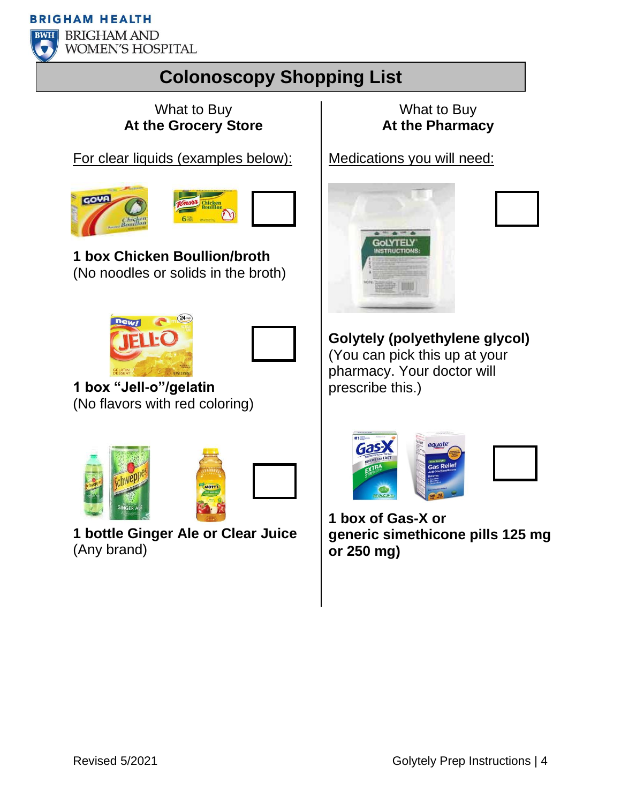**BRIGHAM HEALTH** 



**BWH** BRIGHAM AND **WOMEN'S HOSPITAL** 

# **Colonoscopy Shopping List**

## What to Buy **At the Grocery Store**

For clear liquids (examples below):





**1 box Chicken Boullion/broth** (No noodles or solids in the broth)





**1 box "Jell-o"/gelatin** (No flavors with red coloring)





**1 bottle Ginger Ale or Clear Juice**  (Any brand)

What to Buy **At the Pharmacy**

Medications you will need:



**Golytely (polyethylene glycol)** (You can pick this up at your pharmacy. Your doctor will prescribe this.)



**1 box of Gas-X or generic simethicone pills 125 mg or 250 mg)**